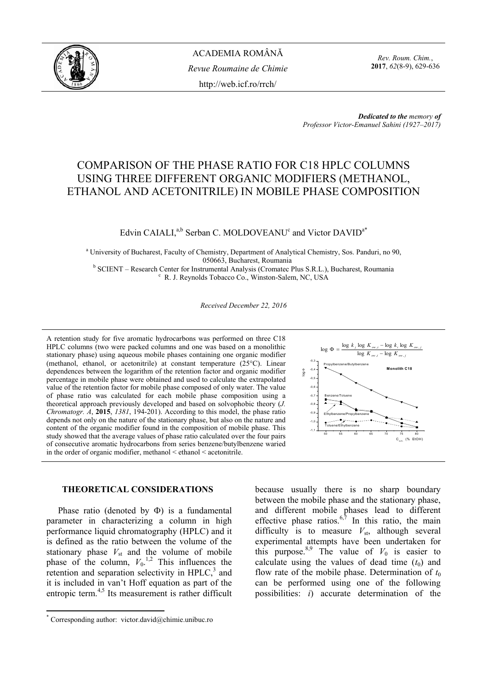

*Rev. Roum. Chim.*, **2017**, *62*(8-9), 629-636

*Dedicated to the memory of Professor Victor-Emanuel Sahini (1927–2017)* 

# COMPARISON OF THE PHASE RATIO FOR C18 HPLC COLUMNS USING THREE DIFFERENT ORGANIC MODIFIERS (METHANOL, ETHANOL AND ACETONITRILE) IN MOBILE PHASE COMPOSITION

# Edvin CAIALI,<sup>a,b</sup> Serban C. MOLDOVEANU<sup>c</sup> and Victor DAVID<sup>a\*</sup>

<sup>a</sup> University of Bucharest, Faculty of Chemistry, Department of Analytical Chemistry, Sos. Panduri, no 90, 050663, Bucharest, Roumania<br><sup>b</sup> SCIENT Becearch Center for Instrumental Anglycis (Cromates E

SCIENT – Research Center for Instrumental Analysis (Cromatec Plus S.R.L.), Bucharest, Roumania c<br>
c B.J. Baynolds Tobaggo Co., Winston Solom, N.C. USA R. J. Reynolds Tobacco Co., Winston-Salem, NC, USA

*Received December 22, 2016* 

A retention study for five aromatic hydrocarbons was performed on three C18 HPLC columns (two were packed columns and one was based on a monolithic stationary phase) using aqueous mobile phases containing one organic modifier (methanol, ethanol, or acetonitrile) at constant temperature (25°C). Linear dependences between the logarithm of the retention factor and organic modifier percentage in mobile phase were obtained and used to calculate the extrapolated value of the retention factor for mobile phase composed of only water. The value of phase ratio was calculated for each mobile phase composition using a theoretical approach previously developed and based on solvophobic theory (*J. Chromatogr. A*, **2015**, *1381*, 194-201). According to this model, the phase ratio depends not only on the nature of the stationary phase, but also on the nature and content of the organic modifier found in the composition of mobile phase. This study showed that the average values of phase ratio calculated over the four pairs of consecutive aromatic hydrocarbons from series benzene/butylbenzene waried in the order of organic modifier, methanol < ethanol < acetonitrile.

# **THEORETICAL CONSIDERATIONS\***

Phase ratio (denoted by  $\Phi$ ) is a fundamental parameter in characterizing a column in high performance liquid chromatography (HPLC) and it is defined as the ratio between the volume of the stationary phase  $V_{st}$  and the volume of mobile phase of the column,  $V_0$ <sup>1,2</sup> This influences the retention and separation selectivity in  $HPLC<sub>3</sub><sup>3</sup>$  and it is included in van't Hoff equation as part of the entropic term. $4,5$  Its measurement is rather difficult

 $\overline{a}$ 



because usually there is no sharp boundary between the mobile phase and the stationary phase, and different mobile phases lead to different effective phase ratios.<sup>6,7</sup> In this ratio, the main difficulty is to measure  $V_{\text{st}}$ , although several experimental attempts have been undertaken for this purpose.<sup>8,9</sup> The value of  $V_0$  is easier to calculate using the values of dead time  $(t_0)$  and flow rate of the mobile phase. Determination of  $t_0$ can be performed using one of the following possibilities: *i*) accurate determination of the

<sup>\*</sup> Corresponding author: victor.david@chimie.unibuc.ro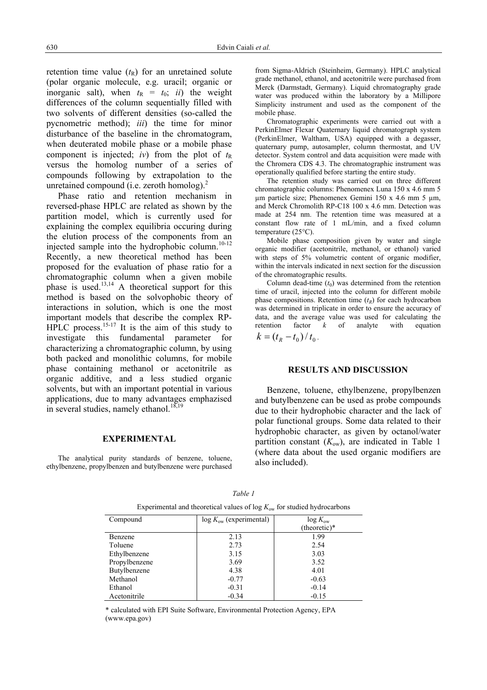retention time value  $(t_R)$  for an unretained solute (polar organic molecule, e.g. uracil; organic or inorganic salt), when  $t_R = t_0$ ; *ii*) the weight differences of the column sequentially filled with two solvents of different densities (so-called the pycnometric method); *iii*) the time for minor disturbance of the baseline in the chromatogram, when deuterated mobile phase or a mobile phase component is injected; *iv*) from the plot of  $t<sub>R</sub>$ versus the homolog number of a series of compounds following by extrapolation to the unretained compound (i.e. zeroth homolog). $2$ 

Phase ratio and retention mechanism in reversed-phase HPLC are related as shown by the partition model, which is currently used for explaining the complex equilibria occuring during the elution process of the components from an injected sample into the hydrophobic column.<sup>10-12</sup> Recently, a new theoretical method has been proposed for the evaluation of phase ratio for a chromatographic column when a given mobile phase is used.13,14 A theoretical support for this method is based on the solvophobic theory of interactions in solution, which is one the most important models that describe the complex RP- $HPLC$  process.<sup>15-17</sup> It is the aim of this study to investigate this fundamental parameter for characterizing a chromatographic column, by using both packed and monolithic columns, for mobile phase containing methanol or acetonitrile as organic additive, and a less studied organic solvents, but with an important potential in various applications, due to many advantages emphazised in several studies, namely ethanol.<sup>18,19</sup>

### **EXPERIMENTAL**

The analytical purity standards of benzene, toluene, ethylbenzene, propylbenzen and butylbenzene were purchased from Sigma-Aldrich (Steinheim, Germany). HPLC analytical grade methanol, ethanol, and acetonitrile were purchased from Merck (Darmstadt, Germany). Liquid chromatography grade water was produced within the laboratory by a Millipore Simplicity instrument and used as the component of the mobile phase.

Chromatographic experiments were carried out with a PerkinElmer Flexar Quaternary liquid chromatograph system (PerkinElmer, Waltham, USA) equipped with a degasser, quaternary pump, autosampler, column thermostat, and UV detector. System control and data acquisition were made with the Chromera CDS 4.3. The chromatographic instrument was operationally qualified before starting the entire study.

The retention study was carried out on three different chromatographic columns: Phenomenex Luna 150 x 4.6 mm 5 µm particle size; Phenomenex Gemini 150 x 4.6 mm 5 µm, and Merck Chromolith RP-C18 100 x 4.6 mm. Detection was made at 254 nm. The retention time was measured at a constant flow rate of 1 mL/min, and a fixed column temperature (25°C).

Mobile phase composition given by water and single organic modifier (acetonitrile, methanol, or ethanol) varied with steps of 5% volumetric content of organic modifier, within the intervals indicated in next section for the discussion of the chromatographic results.

Column dead-time  $(t_0)$  was determined from the retention time of uracil, injected into the column for different mobile phase compositions. Retention time  $(t_R)$  for each hydrocarbon was determined in triplicate in order to ensure the accuracy of data, and the average value was used for calculating the retention factor *k* of analyte with equation  $k = (t_R - t_0) / t_0$ .

#### **RESULTS AND DISCUSSION**

Benzene, toluene, ethylbenzene, propylbenzen and butylbenzene can be used as probe compounds due to their hydrophobic character and the lack of polar functional groups. Some data related to their hydrophobic character, as given by octanol/water partition constant  $(K<sub>ow</sub>)$ , are indicated in Table 1 (where data about the used organic modifiers are also included).

| Experimental and theoretical values of log have for station hydrocarbons |                                  |                   |  |  |  |
|--------------------------------------------------------------------------|----------------------------------|-------------------|--|--|--|
| Compound                                                                 | $\log K_{\rm ow}$ (experimental) | $\log K_{\rm ow}$ |  |  |  |
|                                                                          |                                  | $(theoretic)*$    |  |  |  |
| Benzene                                                                  | 2.13                             | 1.99              |  |  |  |
| Toluene                                                                  | 2.73                             | 2.54              |  |  |  |
| Ethylbenzene                                                             | 3.15                             | 3.03              |  |  |  |
| Propylbenzene                                                            | 3.69                             | 3.52              |  |  |  |
| Butylbenzene                                                             | 4.38                             | 4.01              |  |  |  |
| Methanol                                                                 | $-0.77$                          | $-0.63$           |  |  |  |
| Ethanol                                                                  | $-0.31$                          | $-0.14$           |  |  |  |
| Acetonitrile                                                             | $-0.34$                          | $-0.15$           |  |  |  |

*Table 1*  Experimental and theoretical values of log  $K_{\text{out}}$  for studied hydrocarbons

\* calculated with EPI Suite Software, Environmental Protection Agency, EPA (www.epa.gov)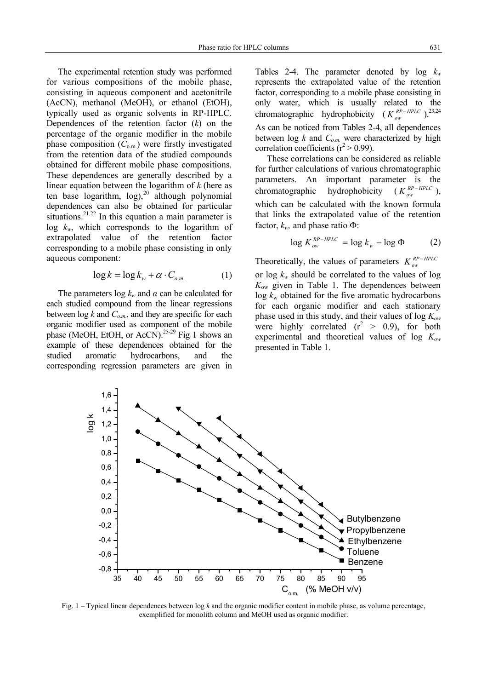The experimental retention study was performed for various compositions of the mobile phase, consisting in aqueous component and acetonitrile (AcCN), methanol (MeOH), or ethanol (EtOH), typically used as organic solvents in RP-HPLC. Dependences of the retention factor (*k*) on the percentage of the organic modifier in the mobile phase composition  $(C_{\text{om}})$  were firstly investigated from the retention data of the studied compounds obtained for different mobile phase compositions. These dependences are generally described by a linear equation between the logarithm of *k* (here as ten base logarithm,  $log$ ),<sup>20</sup> although polynomial dependences can also be obtained for particular situations.<sup>21,22</sup> In this equation a main parameter is log *kw*, which corresponds to the logarithm of extrapolated value of the retention factor corresponding to a mobile phase consisting in only aqueous component:

$$
\log k = \log k_w + \alpha \cdot C_{o.m.} \tag{1}
$$

The parameters  $\log k_w$  and  $\alpha$  can be calculated for each studied compound from the linear regressions between  $\log k$  and  $C_{o.m.}$ , and they are specific for each organic modifier used as component of the mobile phase (MeOH, EtOH, or AcCN).<sup>25-29</sup> Fig 1 shows an example of these dependences obtained for the studied aromatic hydrocarbons, and the corresponding regression parameters are given in Tables 2-4. The parameter denoted by  $log k_w$ represents the extrapolated value of the retention factor, corresponding to a mobile phase consisting in only water, which is usually related to the chromatographic hydrophobicity ( $K_{ow}^{RP-HPLC}$ ).<sup>23,24</sup> As can be noticed from Tables 2-4, all dependences between  $\log k$  and  $C_{o.m.}$  were characterized by high correlation coefficients ( $r^2 > 0.99$ ).

These correlations can be considered as reliable for further calculations of various chromatographic parameters. An important parameter is the chromatographic hydrophobicity  $(K_{ow}^{RP-HPLC}),$ which can be calculated with the known formula that links the extrapolated value of the retention factor,  $k_w$ , and phase ratio  $\Phi$ :

$$
\log K_{ow}^{RP-HPLC} = \log k_w - \log \Phi \tag{2}
$$

Theoretically, the values of parameters  $K_{ow}^{RP-HPLC}$ or  $\log k_w$  should be correlated to the values of log

*K*ow given in Table 1. The dependences between  $\log k_{\rm w}$  obtained for the five aromatic hydrocarbons for each organic modifier and each stationary phase used in this study, and their values of log *Kow* were highly correlated  $(r^2 > 0.9)$ , for both experimental and theoretical values of log *Kow* presented in Table 1.



Fig. 1 – Typical linear dependences between log *k* and the organic modifier content in mobile phase, as volume percentage, exemplified for monolith column and MeOH used as organic modifier.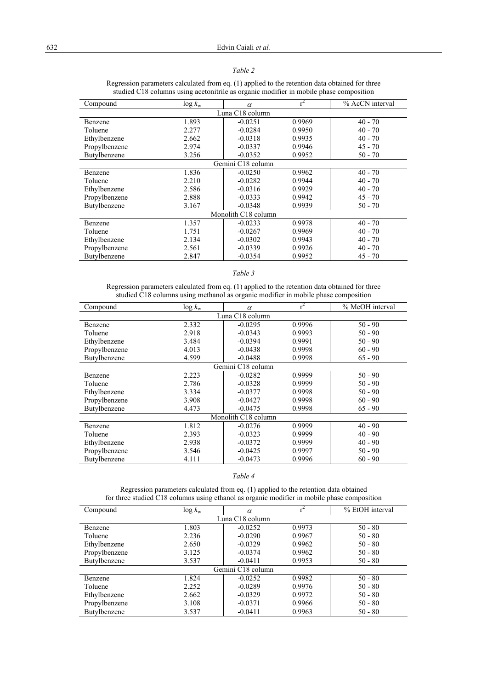# *Table 2*

| $\frac{1}{2}$ statica $\frac{1}{2}$ to columns using accioniting as organic modifier in modific phase composition |                  |                   |        |                 |  |  |
|-------------------------------------------------------------------------------------------------------------------|------------------|-------------------|--------|-----------------|--|--|
| Compound                                                                                                          | $\log k_{\rm w}$ | $\alpha$          |        | % AcCN interval |  |  |
| Luna C18 column                                                                                                   |                  |                   |        |                 |  |  |
| Benzene                                                                                                           | 1.893            | $-0.0251$         | 0.9969 | $40 - 70$       |  |  |
| Toluene                                                                                                           | 2.277            | $-0.0284$         | 0.9950 | $40 - 70$       |  |  |
| Ethylbenzene                                                                                                      | 2.662            | $-0.0318$         | 0.9935 | $40 - 70$       |  |  |
| Propylbenzene                                                                                                     | 2.974            | $-0.0337$         | 0.9946 | $45 - 70$       |  |  |
| Butylbenzene                                                                                                      | 3.256            | $-0.0352$         | 0.9952 | $50 - 70$       |  |  |
|                                                                                                                   |                  | Gemini C18 column |        |                 |  |  |
| Benzene                                                                                                           | 1.836            | $-0.0250$         | 0.9962 | $40 - 70$       |  |  |
| Toluene                                                                                                           | 2.210            | $-0.0282$         | 0.9944 | $40 - 70$       |  |  |
| Ethylbenzene                                                                                                      | 2.586            | $-0.0316$         | 0.9929 | $40 - 70$       |  |  |
| Propylbenzene                                                                                                     | 2.888            | $-0.0333$         | 0.9942 | $45 - 70$       |  |  |
| Butylbenzene                                                                                                      | 3.167            | $-0.0348$         | 0.9939 | 50 - 70         |  |  |
| Monolith C18 column                                                                                               |                  |                   |        |                 |  |  |
| Benzene                                                                                                           | 1.357            | $-0.0233$         | 0.9978 | $40 - 70$       |  |  |
| Toluene                                                                                                           | 1.751            | $-0.0267$         | 0.9969 | $40 - 70$       |  |  |
| Ethylbenzene                                                                                                      | 2.134            | $-0.0302$         | 0.9943 | $40 - 70$       |  |  |
| Propylbenzene                                                                                                     | 2.561            | $-0.0339$         | 0.9926 | $40 - 70$       |  |  |
| Butylbenzene                                                                                                      | 2.847            | $-0.0354$         | 0.9952 | $45 - 70$       |  |  |

Regression parameters calculated from eq. (1) applied to the retention data obtained for three studied C18 columns using acetonitrile as organic modifier in mobile phase composition

# *Table 3*

Regression parameters calculated from eq. (1) applied to the retention data obtained for three studied C18 columns using methanol as organic modifier in mobile phase composition

| Compound                    | $\log k_{\rm w}$ | $\alpha$  |        | % MeOH interval |  |  |  |
|-----------------------------|------------------|-----------|--------|-----------------|--|--|--|
| Luna C <sub>18</sub> column |                  |           |        |                 |  |  |  |
| Benzene                     | 2.332            | $-0.0295$ | 0.9996 | $50 - 90$       |  |  |  |
| Toluene                     | 2.918            | $-0.0343$ | 0.9993 | $50 - 90$       |  |  |  |
| Ethylbenzene                | 3.484            | $-0.0394$ | 0.9991 | $50 - 90$       |  |  |  |
| Propylbenzene               | 4.013            | $-0.0438$ | 0.9998 | $60 - 90$       |  |  |  |
| Butylbenzene                | 4.599            | $-0.0488$ | 0.9998 | $65 - 90$       |  |  |  |
| Gemini C18 column           |                  |           |        |                 |  |  |  |
| Benzene                     | 2.223            | $-0.0282$ | 0.9999 | $50 - 90$       |  |  |  |
| Toluene                     | 2.786            | $-0.0328$ | 0.9999 | $50 - 90$       |  |  |  |
| Ethylbenzene                | 3.334            | $-0.0377$ | 0.9998 | $50 - 90$       |  |  |  |
| Propylbenzene               | 3.908            | $-0.0427$ | 0.9998 | $60 - 90$       |  |  |  |
| Butylbenzene                | 4.473            | $-0.0475$ | 0.9998 | $65 - 90$       |  |  |  |
| Monolith C18 column         |                  |           |        |                 |  |  |  |
| Benzene                     | 1.812            | $-0.0276$ | 0.9999 | $40 - 90$       |  |  |  |
| Toluene                     | 2.393            | $-0.0323$ | 0.9999 | $40 - 90$       |  |  |  |
| Ethylbenzene                | 2.938            | $-0.0372$ | 0.9999 | $40 - 90$       |  |  |  |
| Propylbenzene               | 3.546            | $-0.0425$ | 0.9997 | $50 - 90$       |  |  |  |
| Butylbenzene                | 4.111            | $-0.0473$ | 0.9996 | $60 - 90$       |  |  |  |

### *Table 4*

| Compound          | $\log k_{\rm w}$ | $\alpha$  |        | % EtOH interval |  |
|-------------------|------------------|-----------|--------|-----------------|--|
| Luna C18 column   |                  |           |        |                 |  |
| Benzene           | 1.803            | $-0.0252$ | 0.9973 | $50 - 80$       |  |
| Toluene           | 2.236            | $-0.0290$ | 0.9967 | $50 - 80$       |  |
| Ethylbenzene      | 2.650            | $-0.0329$ | 0.9962 | $50 - 80$       |  |
| Propylbenzene     | 3.125            | $-0.0374$ | 0.9962 | $50 - 80$       |  |
| Butylbenzene      | 3.537            | $-0.0411$ | 0.9953 | $50 - 80$       |  |
| Gemini C18 column |                  |           |        |                 |  |
| Benzene           | 1.824            | $-0.0252$ | 0.9982 | $50 - 80$       |  |
| Toluene           | 2.252            | $-0.0289$ | 0.9976 | $50 - 80$       |  |
| Ethylbenzene      | 2.662            | $-0.0329$ | 0.9972 | $50 - 80$       |  |
| Propylbenzene     | 3.108            | $-0.0371$ | 0.9966 | $50 - 80$       |  |
| Butylbenzene      | 3.537            | $-0.0411$ | 0.9963 | $50 - 80$       |  |

Regression parameters calculated from eq. (1) applied to the retention data obtained for three studied C18 columns using ethanol as organic modifier in mobile phase composition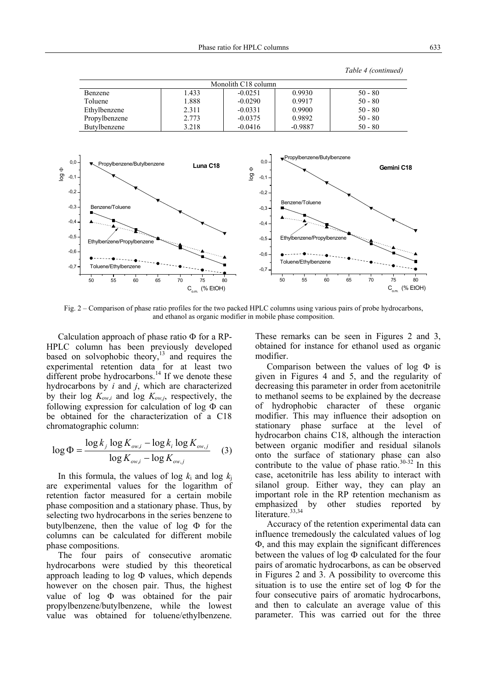*Table 4 (continued)* 



Fig. 2 – Comparison of phase ratio profiles for the two packed HPLC columns using various pairs of probe hydrocarbons, and ethanol as organic modifier in mobile phase composition.

Calculation approach of phase ratio Φ for a RP-HPLC column has been previously developed based on solvophobic theory, $^{13}$  and requires the experimental retention data for at least two different probe hydrocarbons.<sup>14</sup> If we denote these hydrocarbons by *i* and *j*, which are characterized by their log  $K_{ow,i}$  and log  $K_{ow,i}$ , respectively, the following expression for calculation of  $log \Phi$  can be obtained for the characterization of a C18 chromatographic column:

$$
\log \Phi = \frac{\log k_j \log K_{ow,i} - \log k_i \log K_{ow,j}}{\log K_{ow,i} - \log K_{ow,j}} \quad (3)
$$

In this formula, the values of  $\log k_i$  and  $\log k_i$ are experimental values for the logarithm of retention factor measured for a certain mobile phase composition and a stationary phase. Thus, by selecting two hydrocarbons in the series benzene to butylbenzene, then the value of log Φ for the columns can be calculated for different mobile phase compositions.

The four pairs of consecutive aromatic hydrocarbons were studied by this theoretical approach leading to  $log \Phi$  values, which depends however on the chosen pair. Thus, the highest value of log Φ was obtained for the pair propylbenzene/butylbenzene, while the lowest value was obtained for toluene/ethylbenzene.

These remarks can be seen in Figures 2 and 3, obtained for instance for ethanol used as organic modifier.

Comparison between the values of log Φ is given in Figures 4 and 5, and the regularity of decreasing this parameter in order from acetonitrile to methanol seems to be explained by the decrease of hydrophobic character of these organic modifier. This may influence their adsoption on stationary phase surface at the level of hydrocarbon chains C18, although the interaction between organic modifier and residual silanols onto the surface of stationary phase can also contribute to the value of phase ratio. $30-32$  In this case, acetonitrile has less ability to interact with silanol group. Either way, they can play an important role in the RP retention mechanism as emphasized by other studies reported by literature.<sup>33,34</sup>

Accuracy of the retention experimental data can influence tremedously the calculated values of log Φ, and this may explain the significant differences between the values of log Φ calculated for the four pairs of aromatic hydrocarbons, as can be observed in Figures 2 and 3. A possibility to overcome this situation is to use the entire set of  $log \Phi$  for the four consecutive pairs of aromatic hydrocarbons, and then to calculate an average value of this parameter. This was carried out for the three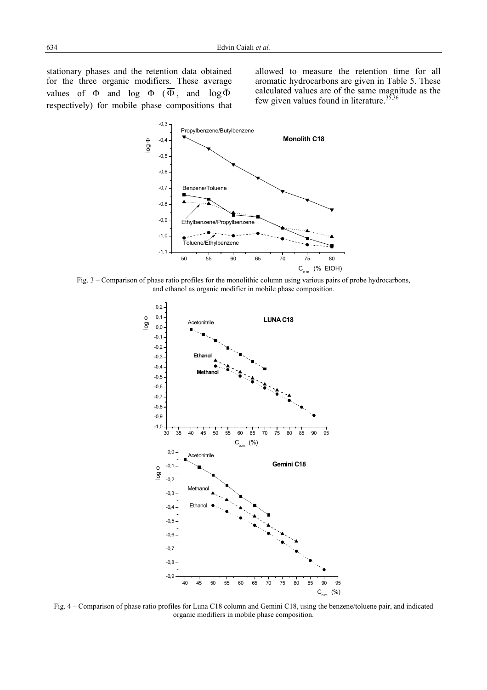stationary phases and the retention data obtained for the three organic modifiers. These average values of  $\Phi$  and log  $\Phi$  ( $\overline{\Phi}$ , and log  $\Phi$ respectively) for mobile phase compositions that allowed to measure the retention time for all aromatic hydrocarbons are given in Table 5. These calculated values are of the same magnitude as the few given values found in literature.<sup>35,36</sup>



Fig. 3 – Comparison of phase ratio profiles for the monolithic column using various pairs of probe hydrocarbons, and ethanol as organic modifier in mobile phase composition.



Fig. 4 – Comparison of phase ratio profiles for Luna C18 column and Gemini C18, using the benzene/toluene pair, and indicated organic modifiers in mobile phase composition.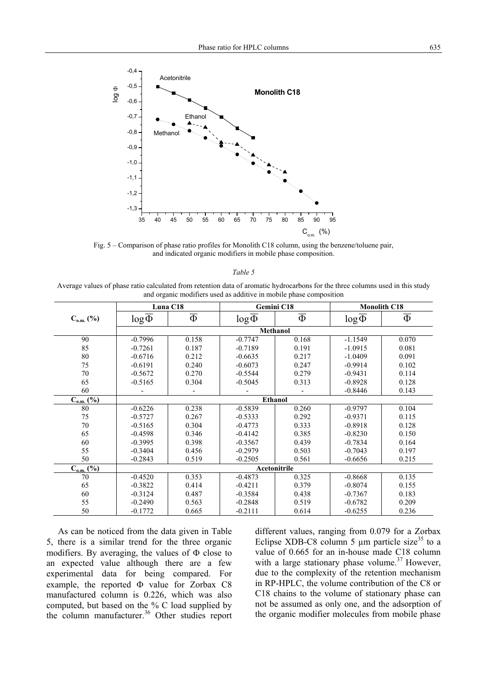

Fig. 5 – Comparison of phase ratio profiles for Monolith C18 column, using the benzene/toluene pair, and indicated organic modifiers in mobile phase composition.

#### *Table 5*

Average values of phase ratio calculated from retention data of aromatic hydrocarbons for the three columns used in this study and organic modifiers used as additive in mobile phase composition

|                                    |                      | Luna C18          |                      | Gemini C18        |                      | <b>Monolith C18</b> |  |
|------------------------------------|----------------------|-------------------|----------------------|-------------------|----------------------|---------------------|--|
| $C_{o.m.}$ (%)                     | $log\overline{\Phi}$ | $\overline{\Phi}$ | $log\overline{\Phi}$ | $\overline{\Phi}$ | $log\overline{\Phi}$ | $\overline{\Phi}$   |  |
|                                    | Methanol             |                   |                      |                   |                      |                     |  |
| 90                                 | $-0.7996$            | 0.158             | $-0.7747$            | 0.168             | $-1.1549$            | 0.070               |  |
| 85                                 | $-0.7261$            | 0.187             | $-0.7189$            | 0.191             | $-1.0915$            | 0.081               |  |
| 80                                 | $-0.6716$            | 0.212             | $-0.6635$            | 0.217             | $-1.0409$            | 0.091               |  |
| 75                                 | $-0.6191$            | 0.240             | $-0.6073$            | 0.247             | $-0.9914$            | 0.102               |  |
| 70                                 | $-0.5672$            | 0.270             | $-0.5544$            | 0.279             | $-0.9431$            | 0.114               |  |
| 65                                 | $-0.5165$            | 0.304             | $-0.5045$            | 0.313             | $-0.8928$            | 0.128               |  |
| 60                                 |                      |                   |                      |                   | $-0.8446$            | 0.143               |  |
| $C_{0.m.}$ (%)                     | <b>Ethanol</b>       |                   |                      |                   |                      |                     |  |
| 80                                 | $-0.6226$            | 0.238             | $-0.5839$            | 0.260             | $-0.9797$            | 0.104               |  |
| 75                                 | $-0.5727$            | 0.267             | $-0.5333$            | 0.292             | $-0.9371$            | 0.115               |  |
| 70                                 | $-0.5165$            | 0.304             | $-0.4773$            | 0.333             | $-0.8918$            | 0.128               |  |
| 65                                 | $-0.4598$            | 0.346             | $-0.4142$            | 0.385             | $-0.8230$            | 0.150               |  |
| 60                                 | $-0.3995$            | 0.398             | $-0.3567$            | 0.439             | $-0.7834$            | 0.164               |  |
| 55                                 | $-0.3404$            | 0.456             | $-0.2979$            | 0.503             | $-0.7043$            | 0.197               |  |
| 50                                 | $-0.2843$            | 0.519             | $-0.2505$            | 0.561             | $-0.6656$            | 0.215               |  |
| $C_{0.m.}(\sqrt[6]{\overline{0}})$ | Acetonitrile         |                   |                      |                   |                      |                     |  |
| 70                                 | $-0.4520$            | 0.353             | $-0.4873$            | 0.325             | $-0.8668$            | 0.135               |  |
| 65                                 | $-0.3822$            | 0.414             | $-0.4211$            | 0.379             | $-0.8074$            | 0.155               |  |
| 60                                 | $-0.3124$            | 0.487             | $-0.3584$            | 0.438             | $-0.7367$            | 0.183               |  |
| 55                                 | $-0.2490$            | 0.563             | $-0.2848$            | 0.519             | $-0.6782$            | 0.209               |  |
| 50                                 | $-0.1772$            | 0.665             | $-0.2111$            | 0.614             | $-0.6255$            | 0.236               |  |

As can be noticed from the data given in Table 5, there is a similar trend for the three organic modifiers. By averaging, the values of  $\Phi$  close to an expected value although there are a few experimental data for being compared. For example, the reported Φ value for Zorbax C8 manufactured column is 0.226, which was also computed, but based on the % C load supplied by the column manufacturer.<sup>36</sup> Other studies report different values, ranging from 0.079 for a Zorbax Eclipse XDB-C8 column 5  $\mu$ m particle size<sup>35</sup> to a value of 0.665 for an in-house made C18 column with a large stationary phase volume.<sup>37</sup> However, due to the complexity of the retention mechanism in RP-HPLC, the volume contribution of the C8 or C18 chains to the volume of stationary phase can not be assumed as only one, and the adsorption of the organic modifier molecules from mobile phase